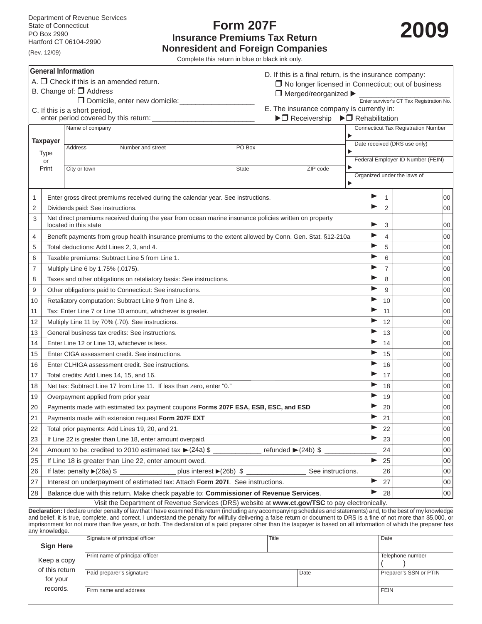# **Form 207F Insurance Premiums Tax Return Nonresident and Foreign Companies**



Complete this return in blue or black ink only.

| <b>General Information</b><br>D. If this is a final return, is the insurance company: |                                                                                                                        |                                                                                                                                |                                                           |                                            |                              |                                          |  |
|---------------------------------------------------------------------------------------|------------------------------------------------------------------------------------------------------------------------|--------------------------------------------------------------------------------------------------------------------------------|-----------------------------------------------------------|--------------------------------------------|------------------------------|------------------------------------------|--|
| A. $\Box$ Check if this is an amended return.                                         |                                                                                                                        |                                                                                                                                | $\Box$ No longer licensed in Connecticut; out of business |                                            |                              |                                          |  |
|                                                                                       | B. Change of: □ Address<br>$\Box$ Merged/reorganized $\blacktriangleright$                                             |                                                                                                                                |                                                           |                                            |                              |                                          |  |
|                                                                                       | Domicile, enter new domicile:                                                                                          |                                                                                                                                |                                                           |                                            |                              | Enter survivor's CT Tax Registration No. |  |
|                                                                                       | E. The insurance company is currently in:<br>C. If this is a short period,                                             |                                                                                                                                |                                                           |                                            |                              |                                          |  |
|                                                                                       | enter period covered by this return: __<br>▶□ Receivership ▶□ Rehabilitation<br>Name of company                        |                                                                                                                                |                                                           | <b>Connecticut Tax Registration Number</b> |                              |                                          |  |
|                                                                                       | ▶                                                                                                                      |                                                                                                                                |                                                           |                                            |                              |                                          |  |
|                                                                                       | <b>Taxpayer</b>                                                                                                        | PO Box<br>Address<br>Number and street                                                                                         |                                                           |                                            | Date received (DRS use only) |                                          |  |
| <b>Type</b><br>or<br>Print                                                            |                                                                                                                        |                                                                                                                                |                                                           | Federal Employer ID Number (FEIN)          |                              |                                          |  |
|                                                                                       |                                                                                                                        | City or town                                                                                                                   | ▶<br><b>State</b><br>ZIP code                             |                                            |                              |                                          |  |
|                                                                                       |                                                                                                                        |                                                                                                                                |                                                           | Organized under the laws of                |                              |                                          |  |
|                                                                                       |                                                                                                                        |                                                                                                                                |                                                           | ▶                                          |                              |                                          |  |
| 1                                                                                     |                                                                                                                        | Enter gross direct premiums received during the calendar year. See instructions.                                               |                                                           |                                            | 1                            | 00                                       |  |
| 2                                                                                     |                                                                                                                        | Dividends paid: See instructions.                                                                                              |                                                           |                                            | $\overline{2}$               | 00                                       |  |
| 3                                                                                     |                                                                                                                        | Net direct premiums received during the year from ocean marine insurance policies written on property<br>located in this state |                                                           |                                            | 3                            | 00                                       |  |
| 4                                                                                     | Benefit payments from group health insurance premiums to the extent allowed by Conn. Gen. Stat. §12-210a               |                                                                                                                                |                                                           |                                            | $\overline{4}$               | 00                                       |  |
| 5                                                                                     | ▶<br>Total deductions: Add Lines 2, 3, and 4.                                                                          |                                                                                                                                |                                                           |                                            | 5                            | 00                                       |  |
| 6                                                                                     | Taxable premiums: Subtract Line 5 from Line 1.                                                                         |                                                                                                                                |                                                           |                                            | 6                            | 00                                       |  |
| 7                                                                                     | Multiply Line 6 by 1.75% (.0175).                                                                                      |                                                                                                                                |                                                           |                                            |                              | 00                                       |  |
| 8                                                                                     | ▶<br>Taxes and other obligations on retaliatory basis: See instructions.                                               |                                                                                                                                |                                                           |                                            | 8                            | 00                                       |  |
| 9                                                                                     | Other obligations paid to Connecticut: See instructions.                                                               |                                                                                                                                |                                                           |                                            | 9                            | 00                                       |  |
| 10                                                                                    | Retaliatory computation: Subtract Line 9 from Line 8.                                                                  |                                                                                                                                |                                                           |                                            | 10                           | 00                                       |  |
| 11                                                                                    | ▶<br>Tax: Enter Line 7 or Line 10 amount, whichever is greater.                                                        |                                                                                                                                |                                                           |                                            | 11                           | 00                                       |  |
| 12                                                                                    | ▶<br>Multiply Line 11 by 70% (.70). See instructions.                                                                  |                                                                                                                                |                                                           |                                            | 12                           | 00                                       |  |
| 13                                                                                    | General business tax credits: See instructions.                                                                        |                                                                                                                                |                                                           | 13                                         | 00                           |                                          |  |
| 14                                                                                    | Enter Line 12 or Line 13, whichever is less.                                                                           |                                                                                                                                |                                                           | 14                                         | 00                           |                                          |  |
| 15                                                                                    |                                                                                                                        | Enter CIGA assessment credit. See instructions.                                                                                |                                                           |                                            | 15                           | 00                                       |  |
| 16                                                                                    |                                                                                                                        | Enter CLHIGA assessment credit. See instructions.                                                                              |                                                           | ▶                                          | 16                           | 00                                       |  |
| 17                                                                                    | Total credits: Add Lines 14, 15, and 16.                                                                               |                                                                                                                                |                                                           |                                            | 17                           | 00                                       |  |
| 18                                                                                    | Net tax: Subtract Line 17 from Line 11. If less than zero, enter "0."<br>▶                                             |                                                                                                                                |                                                           |                                            | 18                           | 00                                       |  |
| 19                                                                                    | Overpayment applied from prior year                                                                                    |                                                                                                                                |                                                           |                                            | 19                           | 00                                       |  |
| 20                                                                                    | ▶<br>Payments made with estimated tax payment coupons Forms 207F ESA, ESB, ESC, and ESD                                |                                                                                                                                |                                                           |                                            | 20                           | 00                                       |  |
| 21                                                                                    | ▶<br>Payments made with extension request Form 207F EXT                                                                |                                                                                                                                |                                                           | 21                                         | 00                           |                                          |  |
| 22                                                                                    | ▶<br>Total prior payments: Add Lines 19, 20, and 21.                                                                   |                                                                                                                                |                                                           | 22                                         | 00                           |                                          |  |
| 23                                                                                    | ▶<br>If Line 22 is greater than Line 18, enter amount overpaid.                                                        |                                                                                                                                |                                                           |                                            | 23                           | 00                                       |  |
| 24                                                                                    | Amount to be: credited to 2010 estimated tax $\blacktriangleright$ (24a) \$<br>refunded $\blacktriangleright$ (24b) \$ |                                                                                                                                |                                                           |                                            | 24                           | 00                                       |  |
| 25                                                                                    | If Line 18 is greater than Line 22, enter amount owed.                                                                 |                                                                                                                                |                                                           | ▶                                          | 25                           | 00                                       |  |
| 26                                                                                    |                                                                                                                        | If late: penalty $>(26a)$ \$ _<br>_______________ plus interest ▶(26b) \$ _________                                            | See instructions.                                         |                                            | 26                           | 00                                       |  |
| 27                                                                                    | ▶<br>Interest on underpayment of estimated tax: Attach Form 207I. See instructions.                                    |                                                                                                                                |                                                           |                                            | 27                           | 00                                       |  |
| 28                                                                                    | Balance due with this return. Make check payable to: Commissioner of Revenue Services.<br>▶                            |                                                                                                                                |                                                           |                                            | 28                           | 00                                       |  |
|                                                                                       |                                                                                                                        | $\mathbf{A}$ of $\mathbf{D}$ and $\mathbf{A}$                                                                                  |                                                           |                                            |                              |                                          |  |

Visit the Department of Revenue Services (DRS) website at **www.ct.gov/TSC** to pay electronically.

**Declaration:** I declare under penalty of law that I have examined this return (including any accompanying schedules and statements) and, to the best of my knowledge and belief, it is true, complete, and correct. I understand the penalty for willfully delivering a false return or document to DRS is a fine of not more than \$5,000, or imprisonment for not more than five years, or both. The declaration of a paid preparer other than the taxpayer is based on all information of which the preparer has any knowledge.

|                            | Signature of principal officer  | Title | Date                   |
|----------------------------|---------------------------------|-------|------------------------|
| <b>Sign Here</b>           |                                 |       |                        |
| Keep a copy                | Print name of principal officer |       | Telephone number       |
| of this return<br>for your | Paid preparer's signature       | Date  | Preparer's SSN or PTIN |
| records.                   | Firm name and address           | FEIN  |                        |